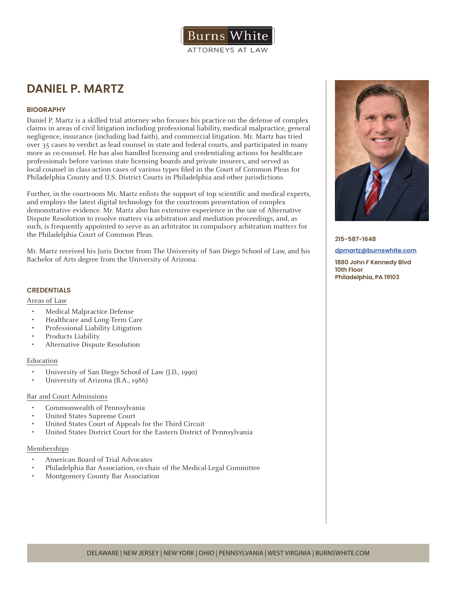

# **DANIEL P. MARTZ**

# **BIOGRAPHY**

Daniel P. Martz is a skilled trial attorney who focuses his practice on the defense of complex claims in areas of civil litigation including professional liability, medical malpractice, general negligence, insurance (including bad faith), and commercial litigation. Mr. Martz has tried over 35 cases to verdict as lead counsel in state and federal courts, and participated in many more as co-counsel. He has also handled licensing and credentialing actions for healthcare professionals before various state licensing boards and private insurers, and served as local counsel in class-action cases of various types filed in the Court of Common Pleas for Philadelphia County and U.S. District Courts in Philadelphia and other jurisdictions.

Further, in the courtroom Mr. Martz enlists the support of top scientific and medical experts, and employs the latest digital technology for the courtroom presentation of complex demonstrative evidence. Mr. Martz also has extensive experience in the use of Alternative Dispute Resolution to resolve matters via arbitration and mediation proceedings, and, as such, is frequently appointed to serve as an arbitrator in compulsory arbitration matters for the Philadelphia Court of Common Pleas.

Mr. Martz received his Juris Doctor from The University of San Diego School of Law, and his Bachelor of Arts degree from the University of Arizona.

## **CREDENTIALS**

#### Areas of Law

- Medical Malpractice Defense
- Healthcare and Long-Term Care
- Professional Liability Litigation
- Products Liability
- Alternative Dispute Resolution

#### Education

- University of San Diego School of Law (J.D., 1990)
- University of Arizona (B.A., 1986)

#### Bar and Court Admissions

- Commonwealth of Pennsylvania
- United States Supreme Court
- United States Court of Appeals for the Third Circuit
- United States District Court for the Eastern District of Pennsylvania

#### Memberships

- American Board of Trial Advocates
- Philadelphia Bar Association, co-chair of the Medical-Legal Committee
- Montgomery County Bar Association



#### **215-587-1648**

#### **dpmartz@burnswhite.com**

**1880 John F Kennedy Blvd 10th Floor Philadelphia, PA 19103**